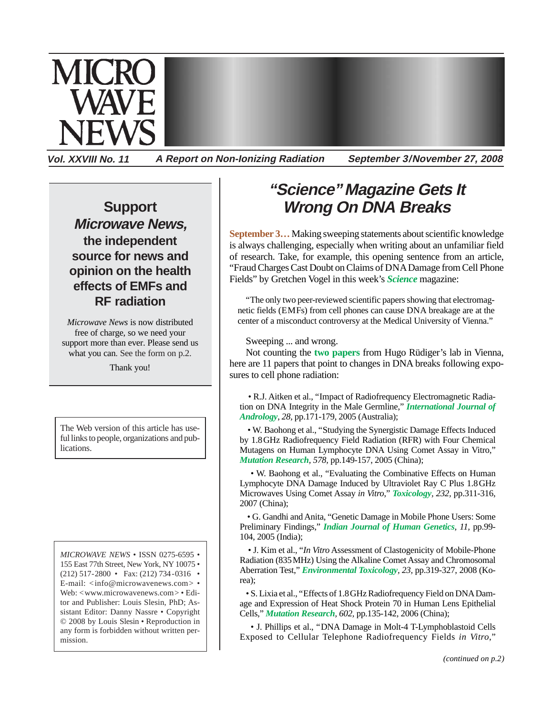

**Vol. XXVIII No. 11 A Report on Non-Ionizing Radiation September 3/November 27, 2008**

## **Support Microwave News, the independent source for news and opinion on the health effects of EMFs and RF radiation**

*Microwave News* is now distributed free of charge, so we need your support more than ever. Please send us what you can. See the form on p.2.

Thank you!

The Web version of this article has useful links to people, organizations and publications.

*MICROWAVE NEWS* • ISSN 0275-6595 • 155 East 77th Street, New York, NY 10075 • (212) 517-2800 • Fax: (212) 734-0316 • E-mail: <info@microwavenews.com> • Web: <www.microwavenews.com> • Editor and Publisher: Louis Slesin, PhD; Assistant Editor: Danny Nassre • Copyright © 2008 by Louis Slesin • Reproduction in any form is forbidden without written permission.

## **"Science" Magazine Gets It Wrong On DNA Breaks**

**September 3…**Making sweeping statements about scientific knowledge is always challenging, especially when writing about an unfamiliar field of research. Take, for example, this opening sentence from an article, "Fraud Charges Cast Doubt on Claims of DNA Damage from Cell Phone Fields" by Gretchen Vogel in this week's *[Science](http://www.sciencemag.org/)* magazine:

"The only two peer-reviewed scientific papers showing that electromagnetic fields (EMFs) from cell phones can cause DNA breakage are at the center of a misconduct controversy at the Medical University of Vienna."

Sweeping ... and wrong.

Not counting the **[two papers](http://www.ncbi.nlm.nih.gov/pubmed/18278508,15869902)** from Hugo Rüdiger's lab in Vienna, here are 11 papers that point to changes in DNA breaks following exposures to cell phone radiation:

 • R.J. Aitken et al., "Impact of Radiofrequency Electromagnetic Radiation on DNA Integrity in the Male Germline," *[International Journal of](http://www.ncbi.nlm.nih.gov/pubmed/15910543) [Andrology](http://www.ncbi.nlm.nih.gov/pubmed/15910543)*, *28,* pp.171-179, 2005 (Australia);

• W. Baohong et al., "Studying the Synergistic Damage Effects Induced by 1.8GHz Radiofrequency Field Radiation (RFR) with Four Chemical Mutagens on Human Lymphocyte DNA Using Comet Assay in Vitro," *[Mutation Research](http://www.ncbi.nlm.nih.gov/pubmed/15935405), 578,* pp.149-157, 2005 (China);

• W. Baohong et al., "Evaluating the Combinative Effects on Human Lymphocyte DNA Damage Induced by Ultraviolet Ray C Plus 1.8GHz Microwaves Using Comet Assay *in Vitro*," *[Toxicology](http://www.ncbi.nlm.nih.gov/pubmed/17336440), 232,* pp.311-316, 2007 (China);

• G. Gandhi and Anita, "Genetic Damage in Mobile Phone Users: Some Preliminary Findings," *[Indian Journal of Human Genetics](http://www.ijhg.com/article.asp?issn=0971-6866;year=2005;volume=11;issue=2;spage=99;epage=104;aulast=Gandhi;type=0), 11,* pp.99- 104, 2005 (India);

 • J. Kim et al., "*In Vitro* Assessment of Clastogenicity of Mobile-Phone Radiation (835MHz) Using the Alkaline Comet Assay and Chromosomal Aberration Test," *[Environmental Toxicology](http://www.ncbi.nlm.nih.gov/pubmed/18214898), 23,* pp.319-327, 2008 (Korea);

• S. Lixia et al., "Effects of 1.8GHz Radiofrequency Field on DNA Damage and Expression of Heat Shock Protein 70 in Human Lens Epithelial Cells," *[Mutation Research](http://www.ncbi.nlm.nih.gov/pubmed/17011595), 602,* pp.135-142, 2006 (China);

• J. Phillips et al., "DNA Damage in Molt-4 T-Lymphoblastoid Cells Exposed to Cellular Telephone Radiofrequency Fields *in Vitro*,"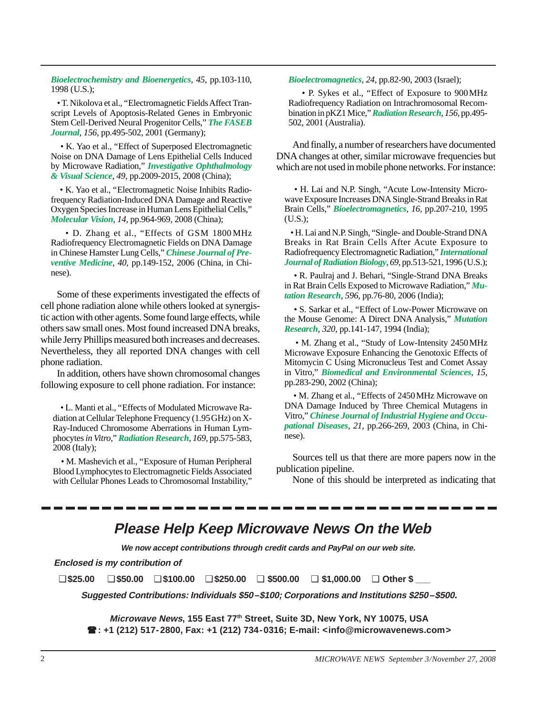*[Bioelectrochemistry and Bioenergetics](http://www.sciencedirect.com/science?_ob=ArticleURL&_udi=B6TF7-3V572NV-D&_user=10&_coverDate=03%2F31%2F1998&_rdoc=12&_fmt=high&_orig=browse&_srch=doc-info(%23toc%235219%231998%23999549998%2331112%23FLA%23display%23Volume)&_cdi=5219&_sort=d&_docanchor=&_ct=16&_acct=C000050221&_version=1&_urlVersion=0&_userid=10&md5=b5baa68022d5123c5ba4e8efed5113bf), 45,* pp.103-110, 1998 (U.S.);

• T. Nikolova et al., "Electromagnetic Fields Affect Transcript Levels of Apoptosis-Related Genes in Embryonic Stem Cell-Derived Neural Progenitor Cells," *[The FASEB](http://www.ncbi.nlm.nih.gov/pubmed/16116041) [Journal](http://www.ncbi.nlm.nih.gov/pubmed/16116041), 156,* pp.495-502, 2001 (Germany);

• K. Yao et al., "Effect of Superposed Electromagnetic Noise on DNA Damage of Lens Epithelial Cells Induced by Microwave Radiation," *[Investigative Ophthalmology](http://www.ncbi.nlm.nih.gov/pubmed/18436834) [& Visual Science](http://www.ncbi.nlm.nih.gov/pubmed/18436834), 49,* pp.2009-2015, 2008 (China);

• K. Yao et al., "Electromagnetic Noise Inhibits Radiofrequency Radiation-Induced DNA Damage and Reactive Oxygen Species Increase in Human Lens Epithelial Cells," *[Molecular Vision](http://www.ncbi.nlm.nih.gov/pubmed/18509546), 14,* pp.964-969, 2008 (China);

• D. Zhang et al., "Effects of GSM 1800 MHz Radiofrequency Electromagnetic Fields on DNA Damage in Chinese Hamster Lung Cells," *[Chinese Journal of Pre](http://www.ncbi.nlm.nih.gov/pubmed/16836873)[ventive Medicine](http://www.ncbi.nlm.nih.gov/pubmed/16836873)*, *40*, pp.149-152, 2006 (China, in Chinese).

Some of these experiments investigated the effects of cell phone radiation alone while others looked at synergistic action with other agents. Some found large effects, while others saw small ones. Most found increased DNA breaks, while Jerry Phillips measured both increases and decreases. Nevertheless, they all reported DNA changes with cell phone radiation.

In addition, others have shown chromosomal changes following exposure to cell phone radiation. For instance:

 • L. Manti et al., "Effects of Modulated Microwave Radiation at Cellular Telephone Frequency (1.95GHz) on X-Ray-Induced Chromosome Aberrations in Human Lymphocytes *in Vitro*," *[Radiation Research](http://www.bioone.org/perlserv/?request=get-abstract&doi=10.1667%2FRR1044.1), 169,* pp.575-583, 2008 (Italy);

• M. Mashevich et al., "Exposure of Human Peripheral Blood Lymphocytes to Electromagnetic Fields Associated with Cellular Phones Leads to Chromosomal Instability,"

*[Bioelectromagnetics](http://www3.interscience.wiley.com/journal/102523679/abstract), 24,* pp.82-90, 2003 (Israel);

• P. Sykes et al., "Effect of Exposure to 900MHz Radiofrequency Radiation on Intrachromosomal Recombination in pKZ1 Mice," *[Radiation Research](http://www.bioone.org/perlserv/?request=get-abstract&doi=10.1667%2F0033-7587(2001)156[0495%3AEOETMR]2.0.CO%3B2), 156,* pp.495- 502, 2001 (Australia).

And finally, a number of researchers have documented DNA changes at other, similar microwave frequencies but which are not used in mobile phone networks. For instance:

 • H. Lai and N.P. Singh, "Acute Low-Intensity Microwave Exposure Increases DNA Single-Strand Breaks in Rat Brain Cells," *[Bioelectromagnetics](http://www3.interscience.wiley.com/journal/112129973/abstract), 16,* pp.207-210, 1995 (U.S.);

• H. Lai and N.P. Singh, "Single- and Double-Strand DNA Breaks in Rat Brain Cells After Acute Exposure to Radiofrequency Electromagnetic Radiation," *[International](http://www.ncbi.nlm.nih.gov/pubmed/8627134) [Journal of Radiation Biology](http://www.ncbi.nlm.nih.gov/pubmed/8627134), 69,* pp.513-521, 1996 (U.S.);

• R. Paulraj and J. Behari, "Single-Strand DNA Breaks in Rat Brain Cells Exposed to Microwave Radiation," *[Mu](http://www.ncbi.nlm.nih.gov/pubmed/16458332)[tation Research](http://www.ncbi.nlm.nih.gov/pubmed/16458332), 596,* pp.76-80, 2006 (India);

• S. Sarkar et al., "Effect of Low-Power Microwave on the Mouse Genome: A Direct DNA Analysis," *[Mutation](http://www.ncbi.nlm.nih.gov/pubmed/7506381) [Research](http://www.ncbi.nlm.nih.gov/pubmed/7506381), 320,* pp.141-147, 1994 (India);

• M. Zhang et al., "Study of Low-Intensity 2450MHz Microwave Exposure Enhancing the Genotoxic Effects of Mitomycin C Using Micronucleus Test and Comet Assay in Vitro," *[Biomedical and Environmental Sciences](http://www.ncbi.nlm.nih.gov/pubmed/12642984), 15,* pp.283-290, 2002 (China);

• M. Zhang et al., "Effects of 2450MHz Microwave on DNA Damage Induced by Three Chemical Mutagens in Vitro," *[Chinese Journal of Industrial Hygiene and Occu](http://www.ncbi.nlm.nih.gov/pubmed/14761437)[pational Diseases](http://www.ncbi.nlm.nih.gov/pubmed/14761437), 21,* pp.266-269, 2003 (China, in Chinese).

Sources tell us that there are more papers now in the publication pipeline.

None of this should be interpreted as indicating that

## **Please Help Keep Microwave News On the Web**

**We now accept contributions through credit cards and PayPal on our web site.**

**Enclosed is my contribution of**

❑ **\$25.00** ❑ **\$50.00** ❑ **\$100.00** ❑ **\$250.00** ❑ **\$500.00** ❑ **\$1,000.00** ❑ **Other \$ \_\_\_**

**Suggested Contributions: Individuals \$50–\$100; Corporations and Institutions \$250–\$500.**

**Microwave News, 155 East 77th Street, Suite 3D, New York, NY 10075, USA : +1 (212) 517-2800, Fax: +1 (212) 734-0316; E-mail: <info@microwavenews.com>**